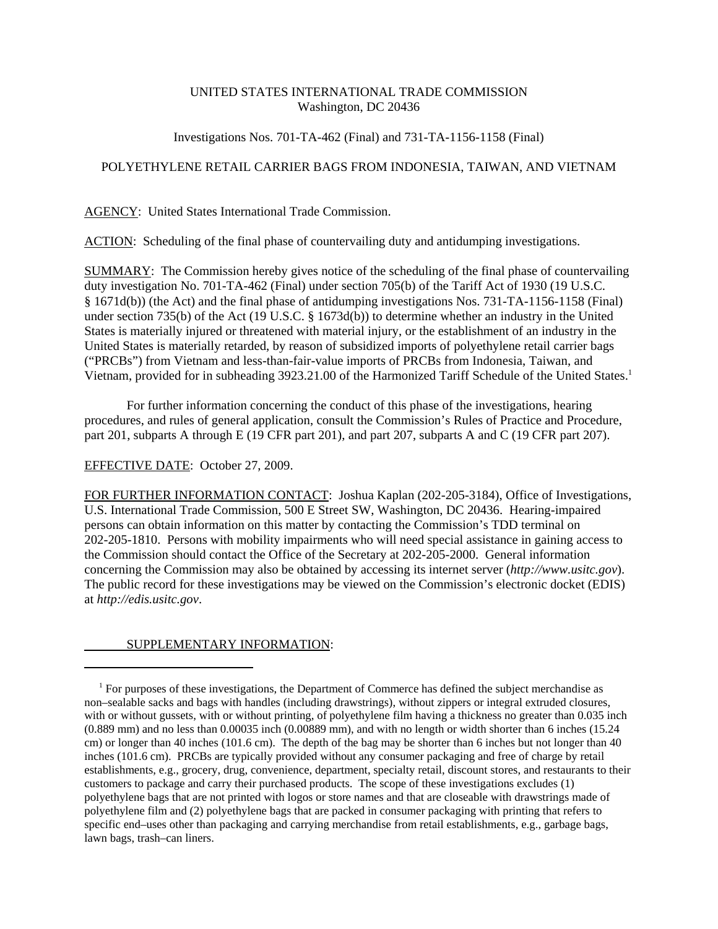## UNITED STATES INTERNATIONAL TRADE COMMISSION Washington, DC 20436

### Investigations Nos. 701-TA-462 (Final) and 731-TA-1156-1158 (Final)

## POLYETHYLENE RETAIL CARRIER BAGS FROM INDONESIA, TAIWAN, AND VIETNAM

AGENCY: United States International Trade Commission.

ACTION: Scheduling of the final phase of countervailing duty and antidumping investigations.

SUMMARY: The Commission hereby gives notice of the scheduling of the final phase of countervailing duty investigation No. 701-TA-462 (Final) under section 705(b) of the Tariff Act of 1930 (19 U.S.C. § 1671d(b)) (the Act) and the final phase of antidumping investigations Nos. 731-TA-1156-1158 (Final) under section 735(b) of the Act (19 U.S.C. § 1673d(b)) to determine whether an industry in the United States is materially injured or threatened with material injury, or the establishment of an industry in the United States is materially retarded, by reason of subsidized imports of polyethylene retail carrier bags ("PRCBs") from Vietnam and less-than-fair-value imports of PRCBs from Indonesia, Taiwan, and Vietnam, provided for in subheading 3923.21.00 of the Harmonized Tariff Schedule of the United States.1

For further information concerning the conduct of this phase of the investigations, hearing procedures, and rules of general application, consult the Commission's Rules of Practice and Procedure, part 201, subparts A through E (19 CFR part 201), and part 207, subparts A and C (19 CFR part 207).

#### EFFECTIVE DATE: October 27, 2009.

FOR FURTHER INFORMATION CONTACT: Joshua Kaplan (202-205-3184), Office of Investigations, U.S. International Trade Commission, 500 E Street SW, Washington, DC 20436. Hearing-impaired persons can obtain information on this matter by contacting the Commission's TDD terminal on 202-205-1810. Persons with mobility impairments who will need special assistance in gaining access to the Commission should contact the Office of the Secretary at 202-205-2000. General information concerning the Commission may also be obtained by accessing its internet server (*http://www.usitc.gov*). The public record for these investigations may be viewed on the Commission's electronic docket (EDIS) at *http://edis.usitc.gov*.

# SUPPLEMENTARY INFORMATION:

<sup>&</sup>lt;sup>1</sup> For purposes of these investigations, the Department of Commerce has defined the subject merchandise as non–sealable sacks and bags with handles (including drawstrings), without zippers or integral extruded closures, with or without gussets, with or without printing, of polyethylene film having a thickness no greater than 0.035 inch (0.889 mm) and no less than 0.00035 inch (0.00889 mm), and with no length or width shorter than 6 inches (15.24 cm) or longer than 40 inches (101.6 cm). The depth of the bag may be shorter than 6 inches but not longer than 40 inches (101.6 cm). PRCBs are typically provided without any consumer packaging and free of charge by retail establishments, e.g., grocery, drug, convenience, department, specialty retail, discount stores, and restaurants to their customers to package and carry their purchased products. The scope of these investigations excludes (1) polyethylene bags that are not printed with logos or store names and that are closeable with drawstrings made of polyethylene film and (2) polyethylene bags that are packed in consumer packaging with printing that refers to specific end–uses other than packaging and carrying merchandise from retail establishments, e.g., garbage bags, lawn bags, trash–can liners.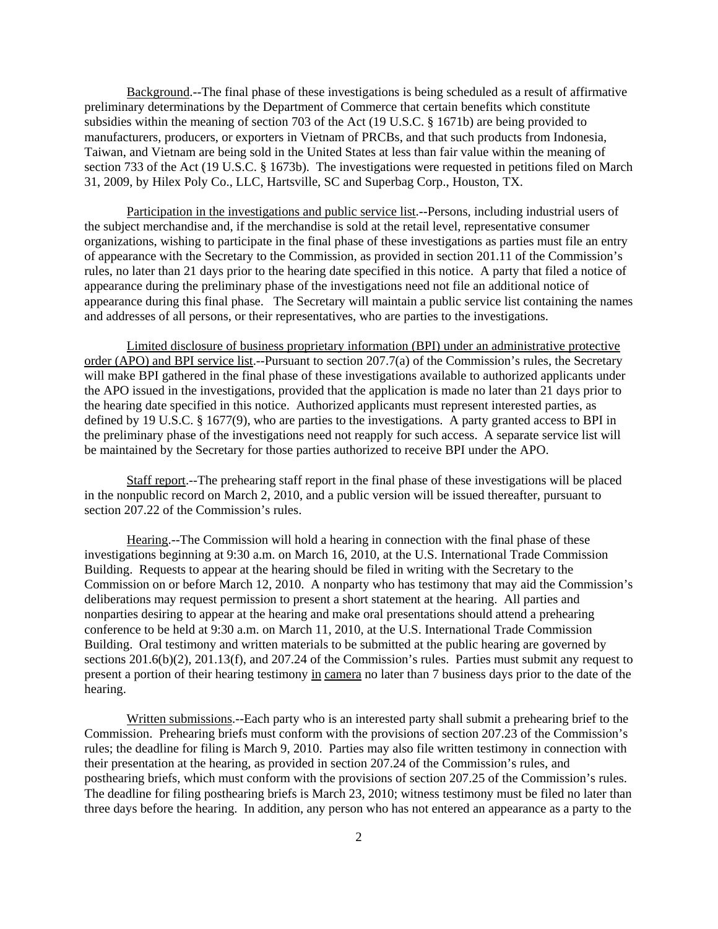Background.--The final phase of these investigations is being scheduled as a result of affirmative preliminary determinations by the Department of Commerce that certain benefits which constitute subsidies within the meaning of section 703 of the Act (19 U.S.C. § 1671b) are being provided to manufacturers, producers, or exporters in Vietnam of PRCBs, and that such products from Indonesia, Taiwan, and Vietnam are being sold in the United States at less than fair value within the meaning of section 733 of the Act (19 U.S.C. § 1673b). The investigations were requested in petitions filed on March 31, 2009, by Hilex Poly Co., LLC, Hartsville, SC and Superbag Corp., Houston, TX.

Participation in the investigations and public service list.--Persons, including industrial users of the subject merchandise and, if the merchandise is sold at the retail level, representative consumer organizations, wishing to participate in the final phase of these investigations as parties must file an entry of appearance with the Secretary to the Commission, as provided in section 201.11 of the Commission's rules, no later than 21 days prior to the hearing date specified in this notice. A party that filed a notice of appearance during the preliminary phase of the investigations need not file an additional notice of appearance during this final phase. The Secretary will maintain a public service list containing the names and addresses of all persons, or their representatives, who are parties to the investigations.

Limited disclosure of business proprietary information (BPI) under an administrative protective order (APO) and BPI service list.--Pursuant to section 207.7(a) of the Commission's rules, the Secretary will make BPI gathered in the final phase of these investigations available to authorized applicants under the APO issued in the investigations, provided that the application is made no later than 21 days prior to the hearing date specified in this notice. Authorized applicants must represent interested parties, as defined by 19 U.S.C. § 1677(9), who are parties to the investigations. A party granted access to BPI in the preliminary phase of the investigations need not reapply for such access. A separate service list will be maintained by the Secretary for those parties authorized to receive BPI under the APO.

Staff report.--The prehearing staff report in the final phase of these investigations will be placed in the nonpublic record on March 2, 2010, and a public version will be issued thereafter, pursuant to section 207.22 of the Commission's rules.

Hearing.--The Commission will hold a hearing in connection with the final phase of these investigations beginning at 9:30 a.m. on March 16, 2010, at the U.S. International Trade Commission Building. Requests to appear at the hearing should be filed in writing with the Secretary to the Commission on or before March 12, 2010. A nonparty who has testimony that may aid the Commission's deliberations may request permission to present a short statement at the hearing. All parties and nonparties desiring to appear at the hearing and make oral presentations should attend a prehearing conference to be held at 9:30 a.m. on March 11, 2010, at the U.S. International Trade Commission Building. Oral testimony and written materials to be submitted at the public hearing are governed by sections 201.6(b)(2), 201.13(f), and 207.24 of the Commission's rules. Parties must submit any request to present a portion of their hearing testimony in camera no later than 7 business days prior to the date of the hearing.

Written submissions.--Each party who is an interested party shall submit a prehearing brief to the Commission. Prehearing briefs must conform with the provisions of section 207.23 of the Commission's rules; the deadline for filing is March 9, 2010. Parties may also file written testimony in connection with their presentation at the hearing, as provided in section 207.24 of the Commission's rules, and posthearing briefs, which must conform with the provisions of section 207.25 of the Commission's rules. The deadline for filing posthearing briefs is March 23, 2010; witness testimony must be filed no later than three days before the hearing. In addition, any person who has not entered an appearance as a party to the